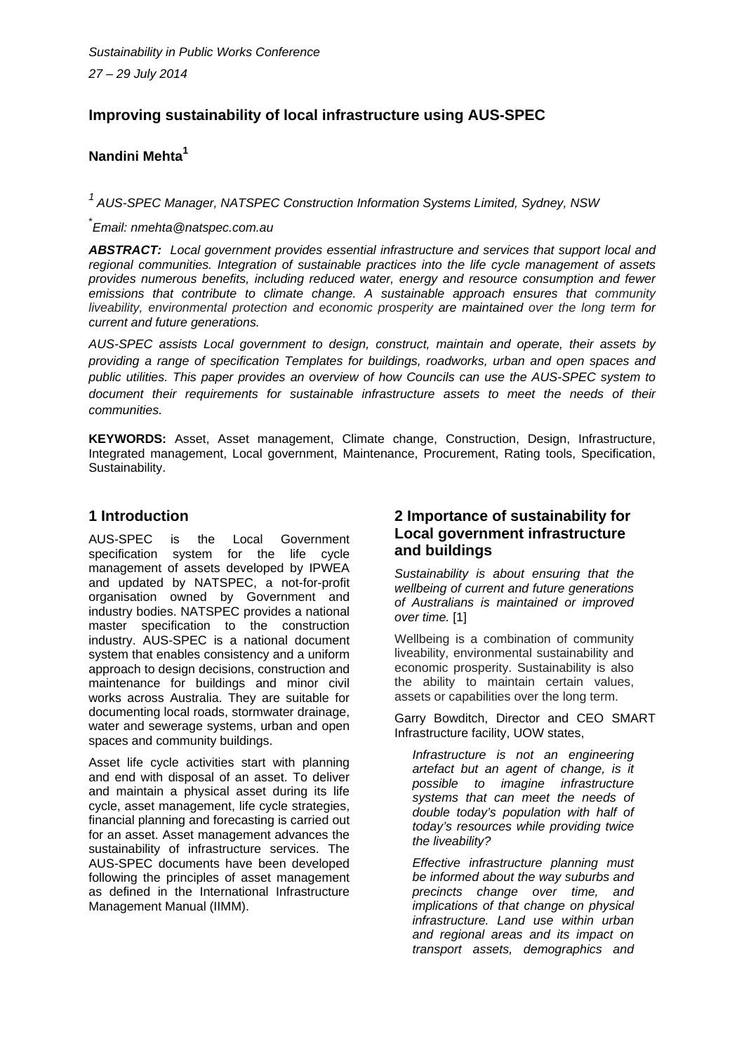# **Improving sustainability of local infrastructure using AUS-SPEC**

### **Nandini Mehta<sup>1</sup>**

*1 AUS-SPEC Manager, NATSPEC Construction Information Systems Limited, Sydney, NSW* 

\* *Email: nmehta@natspec.com.au* 

*ABSTRACT: Local government provides essential infrastructure and services that support local and regional communities. Integration of sustainable practices into the life cycle management of assets provides numerous benefits, including reduced water, energy and resource consumption and fewer*  emissions that contribute to climate change. A sustainable approach ensures that community *liveability, environmental protection and economic prosperity are maintained over the long term for current and future generations.* 

*AUS-SPEC assists Local government to design, construct, maintain and operate, their assets by providing a range of specification Templates for buildings, roadworks, urban and open spaces and public utilities. This paper provides an overview of how Councils can use the AUS-SPEC system to document their requirements for sustainable infrastructure assets to meet the needs of their communities.* 

**KEYWORDS:** Asset, Asset management, Climate change, Construction, Design, Infrastructure, Integrated management, Local government, Maintenance, Procurement, Rating tools, Specification, Sustainability.

### **1 Introduction**

AUS-SPEC is the Local Government specification system for the life cycle management of assets developed by IPWEA and updated by NATSPEC, a not-for-profit organisation owned by Government and industry bodies. NATSPEC provides a national master specification to the construction industry. AUS-SPEC is a national document system that enables consistency and a uniform approach to design decisions, construction and maintenance for buildings and minor civil works across Australia. They are suitable for documenting local roads, stormwater drainage, water and sewerage systems, urban and open spaces and community buildings.

Asset life cycle activities start with planning and end with disposal of an asset. To deliver and maintain a physical asset during its life cycle, asset management, life cycle strategies, financial planning and forecasting is carried out for an asset. Asset management advances the sustainability of infrastructure services. The AUS-SPEC documents have been developed following the principles of asset management as defined in the International Infrastructure Management Manual (IIMM).

### **2 Importance of sustainability for Local government infrastructure and buildings**

*Sustainability is about ensuring that the wellbeing of current and future generations of Australians is maintained or improved over time.* [1]

Wellbeing is a combination of community liveability, environmental sustainability and economic prosperity. Sustainability is also the ability to maintain certain values, assets or capabilities over the long term.

Garry Bowditch, Director and CEO SMART Infrastructure facility, UOW states,

*Infrastructure is not an engineering artefact but an agent of change, is it possible to imagine infrastructure systems that can meet the needs of double today's population with half of today's resources while providing twice the liveability?* 

*Effective infrastructure planning must be informed about the way suburbs and precincts change over time, and implications of that change on physical infrastructure. Land use within urban and regional areas and its impact on transport assets, demographics and*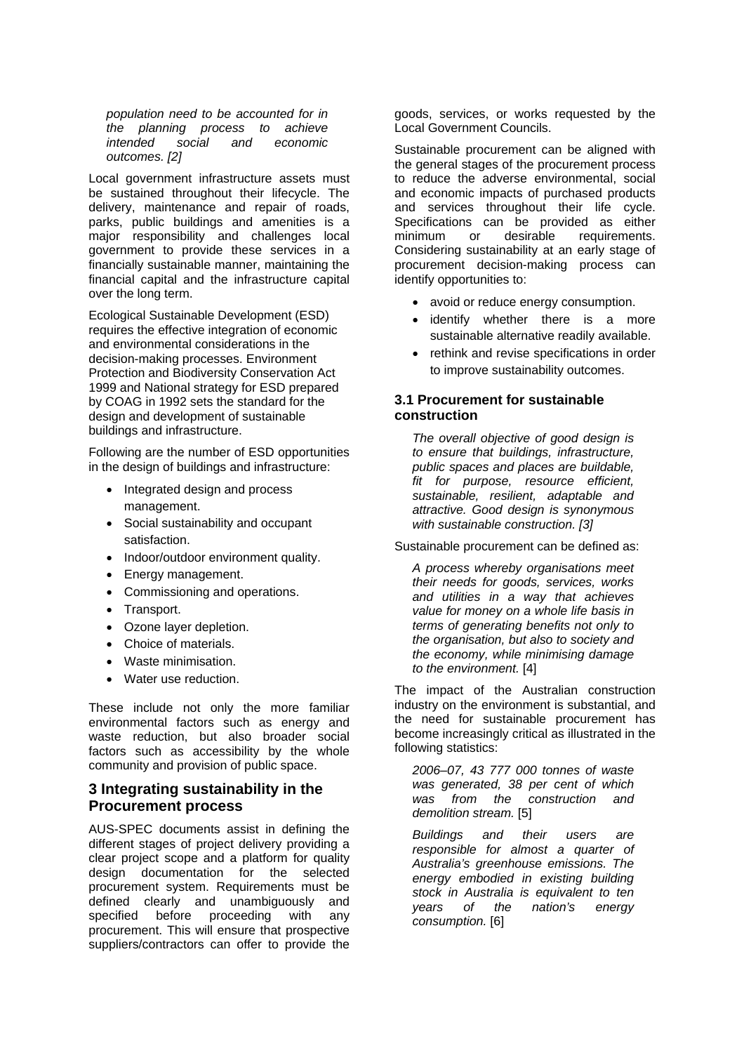*population need to be accounted for in the planning process to achieve intended social and economic outcomes. [2]* 

Local government infrastructure assets must be sustained throughout their lifecycle. The delivery, maintenance and repair of roads, parks, public buildings and amenities is a major responsibility and challenges local government to provide these services in a financially sustainable manner, maintaining the financial capital and the infrastructure capital over the long term.

Ecological Sustainable Development (ESD) requires the effective integration of economic and environmental considerations in the decision-making processes. Environment Protection and Biodiversity Conservation Act 1999 and National strategy for ESD prepared by COAG in 1992 sets the standard for the design and development of sustainable buildings and infrastructure.

Following are the number of ESD opportunities in the design of buildings and infrastructure:

- Integrated design and process management.
- Social sustainability and occupant satisfaction.
- Indoor/outdoor environment quality.
- Energy management.
- Commissioning and operations.
- Transport.
- Ozone layer depletion.
- Choice of materials.
- Waste minimisation.
- Water use reduction.

These include not only the more familiar environmental factors such as energy and waste reduction, but also broader social factors such as accessibility by the whole community and provision of public space.

### **3 Integrating sustainability in the Procurement process**

AUS-SPEC documents assist in defining the different stages of project delivery providing a clear project scope and a platform for quality design documentation for the selected procurement system. Requirements must be defined clearly and unambiguously and specified before proceeding with any procurement. This will ensure that prospective suppliers/contractors can offer to provide the

goods, services, or works requested by the Local Government Councils.

Sustainable procurement can be aligned with the general stages of the procurement process to reduce the adverse environmental, social and economic impacts of purchased products and services throughout their life cycle. Specifications can be provided as either minimum or desirable requirements. Considering sustainability at an early stage of procurement decision-making process can identify opportunities to:

- avoid or reduce energy consumption.
- identify whether there is a more sustainable alternative readily available.
- rethink and revise specifications in order to improve sustainability outcomes.

#### **3.1 Procurement for sustainable construction**

*The overall objective of good design is to ensure that buildings, infrastructure, public spaces and places are buildable, fit for purpose, resource efficient, sustainable, resilient, adaptable and attractive. Good design is synonymous with sustainable construction. [3]* 

Sustainable procurement can be defined as:

*A process whereby organisations meet their needs for goods, services, works and utilities in a way that achieves value for money on a whole life basis in terms of generating benefits not only to the organisation, but also to society and the economy, while minimising damage to the environment.* [4]

The impact of the Australian construction industry on the environment is substantial, and the need for sustainable procurement has become increasingly critical as illustrated in the following statistics:

*2006–07, 43 777 000 tonnes of waste was generated, 38 per cent of which was from the construction and demolition stream.* [5]

*Buildings and their users are responsible for almost a quarter of Australia's greenhouse emissions. The energy embodied in existing building stock in Australia is equivalent to ten years of the nation's energy consumption.* [6]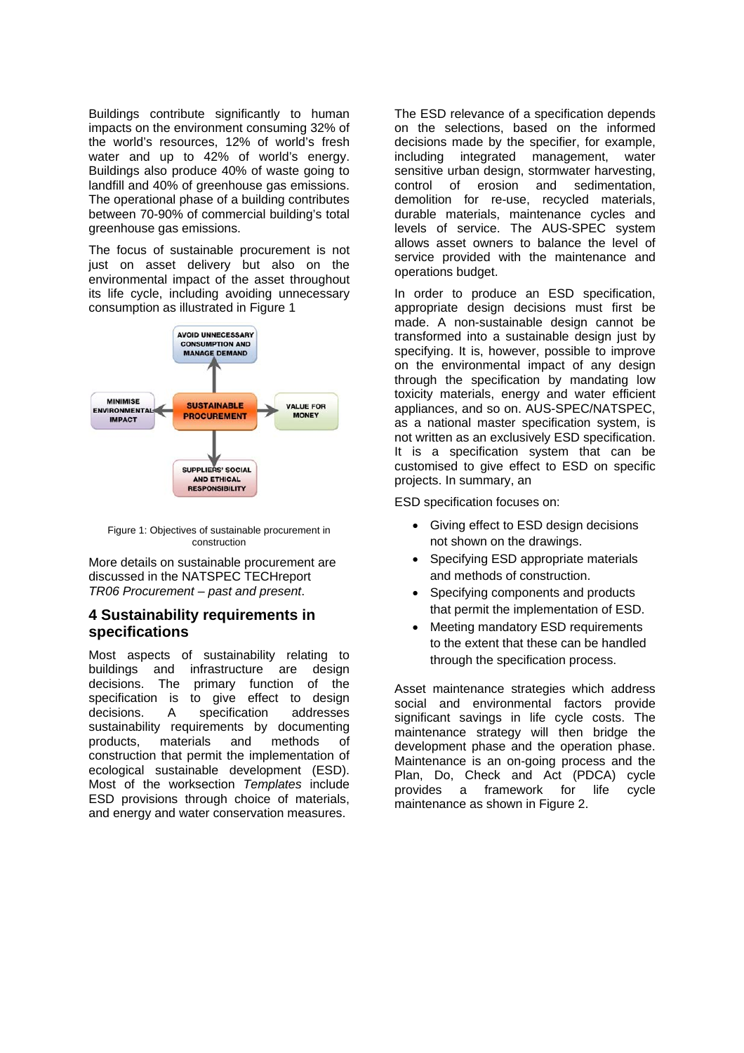Buildings contribute significantly to human impacts on the environment consuming 32% of the world's resources, 12% of world's fresh water and up to 42% of world's energy. Buildings also produce 40% of waste going to landfill and 40% of greenhouse gas emissions. The operational phase of a building contributes between 70-90% of commercial building's total greenhouse gas emissions.

The focus of sustainable procurement is not just on asset delivery but also on the environmental impact of the asset throughout its life cycle, including avoiding unnecessary consumption as illustrated in Figure 1



Figure 1: Objectives of sustainable procurement in construction

More details on sustainable procurement are discussed in the NATSPEC TECHreport *TR06 Procurement – past and present*.

#### **4 Sustainability requirements in specifications**

Most aspects of sustainability relating to buildings and infrastructure are design decisions. The primary function of the specification is to give effect to design decisions. A specification addresses sustainability requirements by documenting products, materials and methods of construction that permit the implementation of ecological sustainable development (ESD). Most of the worksection *Templates* include ESD provisions through choice of materials, and energy and water conservation measures.

The ESD relevance of a specification depends on the selections, based on the informed decisions made by the specifier, for example, including integrated management, water sensitive urban design, stormwater harvesting, control of erosion and sedimentation, demolition for re-use, recycled materials, durable materials, maintenance cycles and levels of service. The AUS-SPEC system allows asset owners to balance the level of service provided with the maintenance and operations budget.

In order to produce an ESD specification, appropriate design decisions must first be made. A non-sustainable design cannot be transformed into a sustainable design just by specifying. It is, however, possible to improve on the environmental impact of any design through the specification by mandating low toxicity materials, energy and water efficient appliances, and so on. AUS-SPEC/NATSPEC, as a national master specification system, is not written as an exclusively ESD specification. It is a specification system that can be customised to give effect to ESD on specific projects. In summary, an

ESD specification focuses on:

- Giving effect to ESD design decisions not shown on the drawings.
- Specifying ESD appropriate materials and methods of construction.
- Specifying components and products that permit the implementation of ESD.
- Meeting mandatory ESD requirements to the extent that these can be handled through the specification process.

Asset maintenance strategies which address social and environmental factors provide significant savings in life cycle costs. The maintenance strategy will then bridge the development phase and the operation phase. Maintenance is an on-going process and the Plan, Do, Check and Act (PDCA) cycle provides a framework for life cycle maintenance as shown in Figure 2.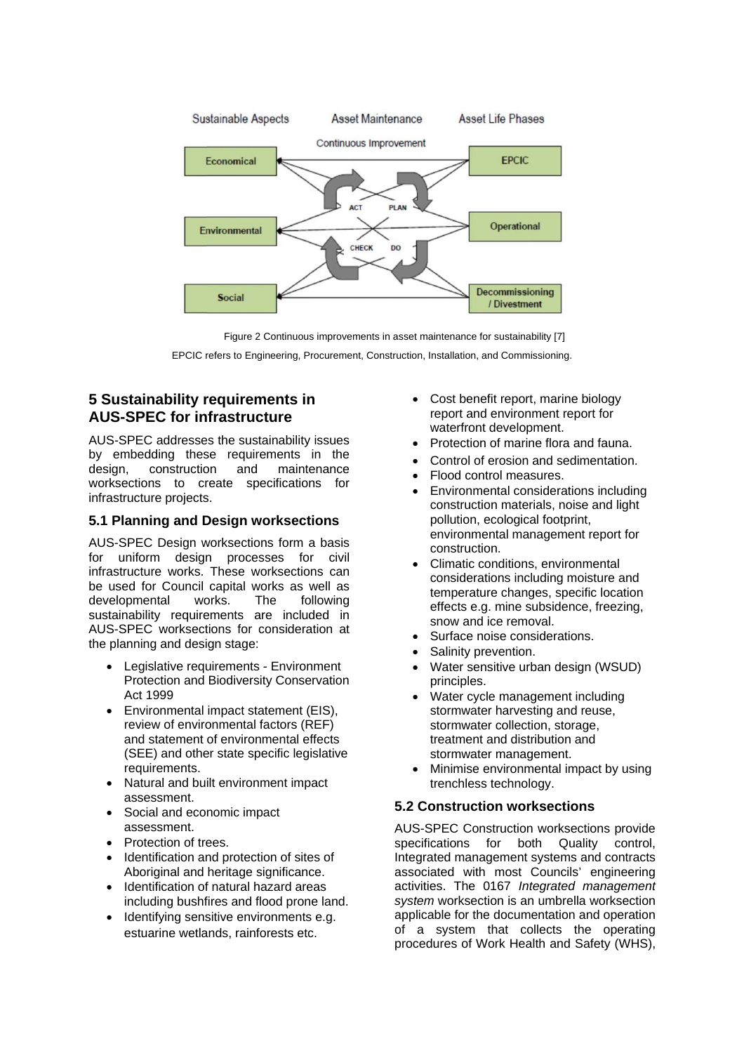

Figure 2 Continuous improvements in asset maintenance for sustainability [7]

EPCIC refers to Engineering, Procurement, Construction, Installation, and Commissioning.

# **5 Sustainability requirements in AUS-SPEC for infrastructure**

AUS-SPEC addresses the sustainability issues by embedding these requirements in the design, construction and maintenance worksections to create specifications for infrastructure projects.

### **5.1 Planning and Design worksections**

AUS-SPEC Design worksections form a basis for uniform design processes for civil infrastructure works. These worksections can be used for Council capital works as well as developmental works. The following sustainability requirements are included in AUS-SPEC worksections for consideration at the planning and design stage:

- Legislative requirements Environment Protection and Biodiversity Conservation Act 1999
- Environmental impact statement (EIS), review of environmental factors (REF) and statement of environmental effects (SEE) and other state specific legislative requirements.
- Natural and built environment impact assessment.
- Social and economic impact assessment.
- Protection of trees.
- Identification and protection of sites of Aboriginal and heritage significance.
- Identification of natural hazard areas including bushfires and flood prone land.
- Identifying sensitive environments e.g. estuarine wetlands, rainforests etc.
- Cost benefit report, marine biology report and environment report for waterfront development.
- Protection of marine flora and fauna.
- Control of erosion and sedimentation.
- Flood control measures.
- Environmental considerations including construction materials, noise and light pollution, ecological footprint, environmental management report for construction.
- Climatic conditions, environmental considerations including moisture and temperature changes, specific location effects e.g. mine subsidence, freezing, snow and ice removal.
- Surface noise considerations.
- Salinity prevention.
- Water sensitive urban design (WSUD) principles.
- Water cycle management including stormwater harvesting and reuse, stormwater collection, storage, treatment and distribution and stormwater management.
- Minimise environmental impact by using trenchless technology.

### **5.2 Construction worksections**

AUS-SPEC Construction worksections provide specifications for both Quality control, Integrated management systems and contracts associated with most Councils' engineering activities. The 0167 *Integrated management system* worksection is an umbrella worksection applicable for the documentation and operation of a system that collects the operating procedures of Work Health and Safety (WHS),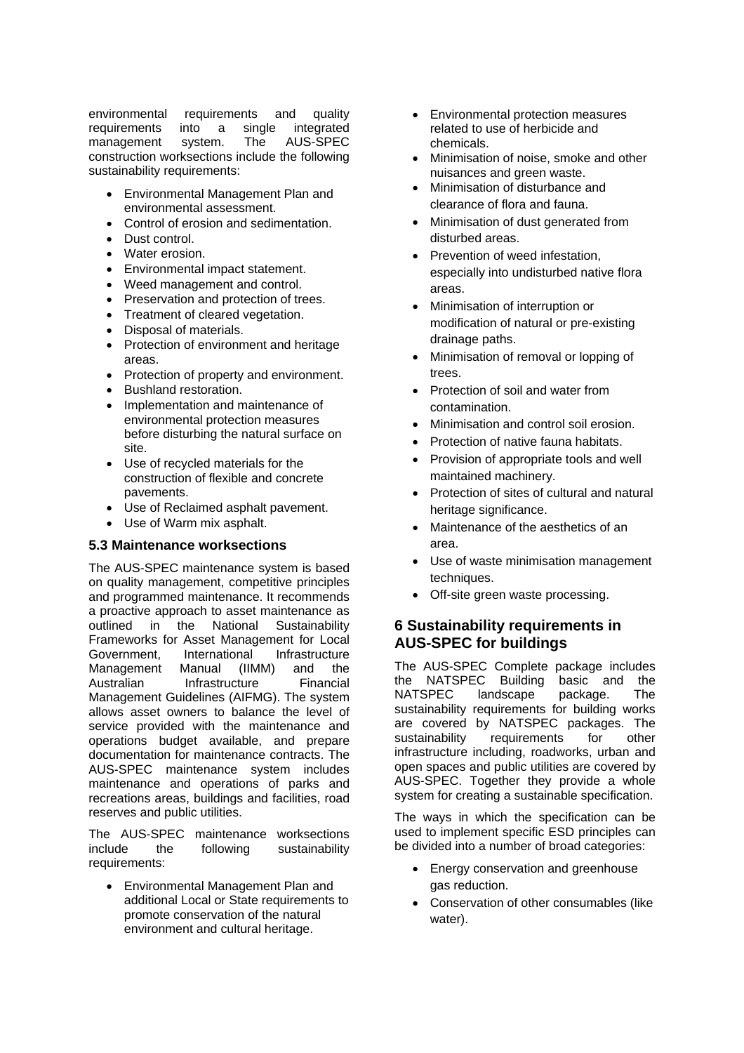environmental requirements and quality requirements into a single integrated management system. The AUS-SPEC construction worksections include the following sustainability requirements:

- Environmental Management Plan and environmental assessment.
- Control of erosion and sedimentation.
- Dust control.
- Water erosion.
- Environmental impact statement.
- Weed management and control.
- Preservation and protection of trees.
- Treatment of cleared vegetation.
- Disposal of materials.
- Protection of environment and heritage areas.
- Protection of property and environment.
- Bushland restoration.
- Implementation and maintenance of environmental protection measures before disturbing the natural surface on site.
- Use of recycled materials for the construction of flexible and concrete pavements.
- Use of Reclaimed asphalt pavement.
- Use of Warm mix asphalt.

#### **5.3 Maintenance worksections**

The AUS-SPEC maintenance system is based on quality management, competitive principles and programmed maintenance. It recommends a proactive approach to asset maintenance as outlined in the National Sustainability Frameworks for Asset Management for Local Government, International Infrastructure Management Manual (IIMM) and the Australian Infrastructure Financial Management Guidelines (AIFMG). The system allows asset owners to balance the level of service provided with the maintenance and operations budget available, and prepare documentation for maintenance contracts. The AUS-SPEC maintenance system includes maintenance and operations of parks and recreations areas, buildings and facilities, road reserves and public utilities.

The AUS-SPEC maintenance worksections include the following sustainability requirements:

 Environmental Management Plan and additional Local or State requirements to promote conservation of the natural environment and cultural heritage.

- Environmental protection measures related to use of herbicide and chemicals.
- Minimisation of noise, smoke and other nuisances and green waste.
- Minimisation of disturbance and clearance of flora and fauna.
- Minimisation of dust generated from disturbed areas.
- Prevention of weed infestation, especially into undisturbed native flora areas.
- Minimisation of interruption or modification of natural or pre-existing drainage paths.
- Minimisation of removal or lopping of trees.
- Protection of soil and water from contamination.
- Minimisation and control soil erosion.
- Protection of native fauna habitats.
- Provision of appropriate tools and well maintained machinery.
- Protection of sites of cultural and natural heritage significance.
- Maintenance of the aesthetics of an area.
- Use of waste minimisation management techniques.
- Off-site green waste processing.

### **6 Sustainability requirements in AUS-SPEC for buildings**

The AUS-SPEC Complete package includes the NATSPEC Building basic and the NATSPEC landscape package. The sustainability requirements for building works are covered by NATSPEC packages. The sustainability requirements for other infrastructure including, roadworks, urban and open spaces and public utilities are covered by AUS-SPEC. Together they provide a whole system for creating a sustainable specification.

The ways in which the specification can be used to implement specific ESD principles can be divided into a number of broad categories:

- Energy conservation and greenhouse gas reduction.
- Conservation of other consumables (like water).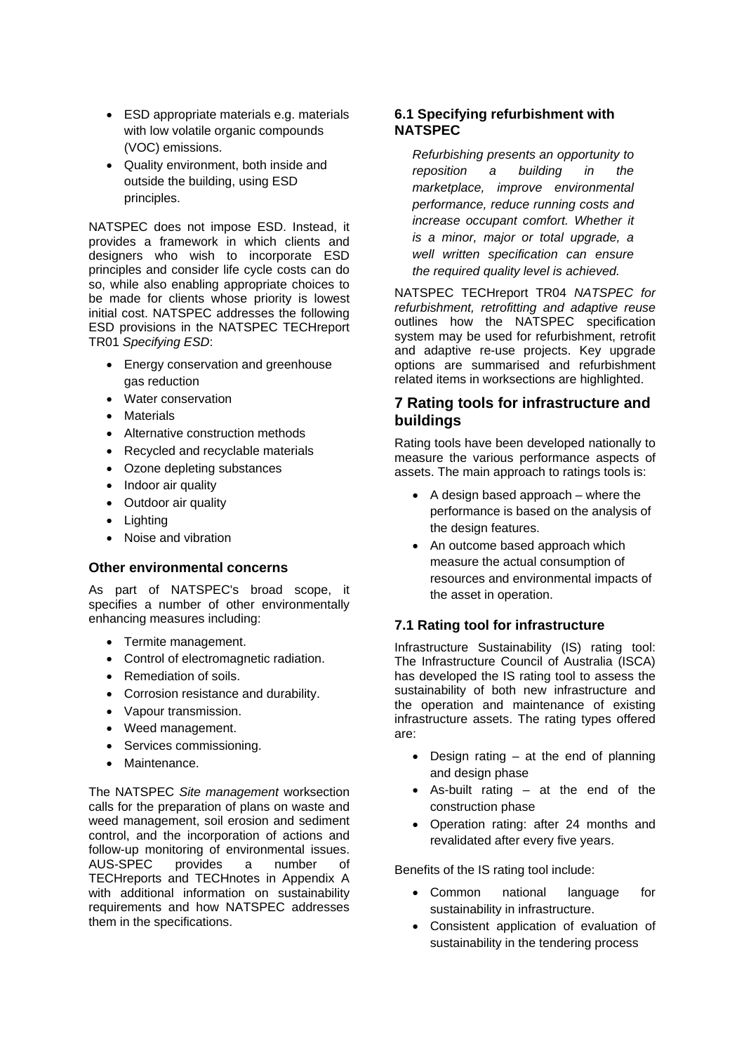- ESD appropriate materials e.g. materials with low volatile organic compounds (VOC) emissions.
- Quality environment, both inside and outside the building, using ESD principles.

NATSPEC does not impose ESD. Instead, it provides a framework in which clients and designers who wish to incorporate ESD principles and consider life cycle costs can do so, while also enabling appropriate choices to be made for clients whose priority is lowest initial cost. NATSPEC addresses the following ESD provisions in the NATSPEC TECHreport TR01 *Specifying ESD*:

- Energy conservation and greenhouse gas reduction
- Water conservation
- **Materials**
- Alternative construction methods
- Recycled and recyclable materials
- Ozone depleting substances
- Indoor air quality
- Outdoor air quality
- Lighting
- Noise and vibration

#### **Other environmental concerns**

As part of NATSPEC's broad scope, it specifies a number of other environmentally enhancing measures including:

- Termite management.
- Control of electromagnetic radiation.
- Remediation of soils.
- Corrosion resistance and durability.
- Vapour transmission.
- Weed management.
- Services commissioning.
- Maintenance.

The NATSPEC *Site management* worksection calls for the preparation of plans on waste and weed management, soil erosion and sediment control, and the incorporation of actions and follow-up monitoring of environmental issues. AUS-SPEC provides a number of TECHreports and TECHnotes in Appendix A with additional information on sustainability requirements and how NATSPEC addresses them in the specifications.

#### **6.1 Specifying refurbishment with NATSPEC**

*Refurbishing presents an opportunity to reposition a building in the marketplace, improve environmental performance, reduce running costs and increase occupant comfort. Whether it is a minor, major or total upgrade, a well written specification can ensure the required quality level is achieved.* 

NATSPEC TECHreport TR04 *NATSPEC for refurbishment, retrofitting and adaptive reuse* outlines how the NATSPEC specification system may be used for refurbishment, retrofit and adaptive re-use projects. Key upgrade options are summarised and refurbishment related items in worksections are highlighted.

### **7 Rating tools for infrastructure and buildings**

Rating tools have been developed nationally to measure the various performance aspects of assets. The main approach to ratings tools is:

- $\bullet$  A design based approach where the performance is based on the analysis of the design features.
- An outcome based approach which measure the actual consumption of resources and environmental impacts of the asset in operation.

#### **7.1 Rating tool for infrastructure**

Infrastructure Sustainability (IS) rating tool: The Infrastructure Council of Australia (ISCA) has developed the IS rating tool to assess the sustainability of both new infrastructure and the operation and maintenance of existing infrastructure assets. The rating types offered are:

- $\bullet$  Design rating at the end of planning and design phase
- As-built rating at the end of the construction phase
- Operation rating: after 24 months and revalidated after every five years.

Benefits of the IS rating tool include:

- Common national language for sustainability in infrastructure.
- Consistent application of evaluation of sustainability in the tendering process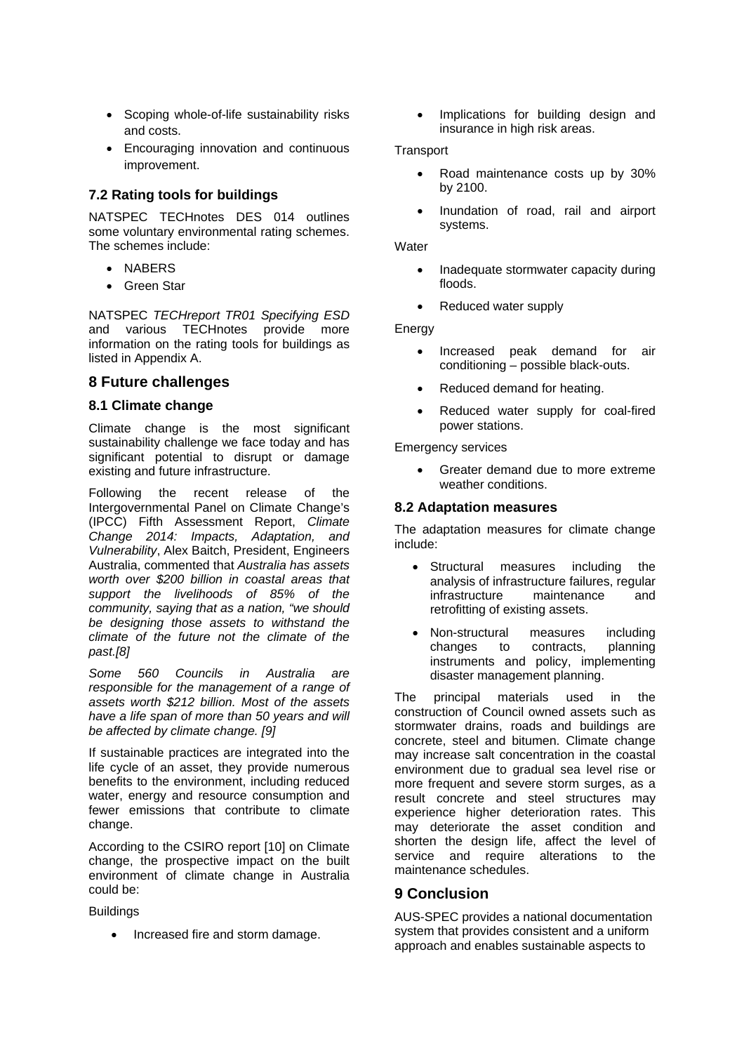- Scoping whole-of-life sustainability risks and costs.
- Encouraging innovation and continuous improvement.

### **7.2 Rating tools for buildings**

NATSPEC TECHnotes DES 014 outlines some voluntary environmental rating schemes. The schemes include:

- NABERS
- Green Star

NATSPEC *TECHreport TR01 Specifying ESD* and various TECHnotes provide more information on the rating tools for buildings as listed in Appendix A.

### **8 Future challenges**

#### **8.1 Climate change**

Climate change is the most significant sustainability challenge we face today and has significant potential to disrupt or damage existing and future infrastructure.

Following the recent release of the Intergovernmental Panel on Climate Change's (IPCC) Fifth Assessment Report, *Climate Change 2014: Impacts, Adaptation, and Vulnerability*, Alex Baitch, President, Engineers Australia, commented that *Australia has assets worth over \$200 billion in coastal areas that support the livelihoods of 85% of the community, saying that as a nation, "we should be designing those assets to withstand the climate of the future not the climate of the past.[8]* 

*Some 560 Councils in Australia are responsible for the management of a range of assets worth \$212 billion. Most of the assets have a life span of more than 50 years and will be affected by climate change. [9]* 

If sustainable practices are integrated into the life cycle of an asset, they provide numerous benefits to the environment, including reduced water, energy and resource consumption and fewer emissions that contribute to climate change.

According to the CSIRO report [10] on Climate change, the prospective impact on the built environment of climate change in Australia could be:

**Buildings** 

• Increased fire and storm damage.

 Implications for building design and insurance in high risk areas.

#### **Transport**

- Road maintenance costs up by 30% by 2100.
- Inundation of road, rail and airport systems.

**Water** 

- Inadequate stormwater capacity during floods.
- Reduced water supply

Energy

- Increased peak demand for air conditioning – possible black-outs.
- Reduced demand for heating.
- Reduced water supply for coal-fired power stations.

Emergency services

 Greater demand due to more extreme weather conditions.

#### **8.2 Adaptation measures**

The adaptation measures for climate change include:

- Structural measures including the analysis of infrastructure failures, regular infrastructure maintenance and retrofitting of existing assets.
- Non-structural measures including changes to contracts, planning instruments and policy, implementing disaster management planning.

The principal materials used in the construction of Council owned assets such as stormwater drains, roads and buildings are concrete, steel and bitumen. Climate change may increase salt concentration in the coastal environment due to gradual sea level rise or more frequent and severe storm surges, as a result concrete and steel structures may experience higher deterioration rates. This may deteriorate the asset condition and shorten the design life, affect the level of service and require alterations to the maintenance schedules.

### **9 Conclusion**

AUS-SPEC provides a national documentation system that provides consistent and a uniform approach and enables sustainable aspects to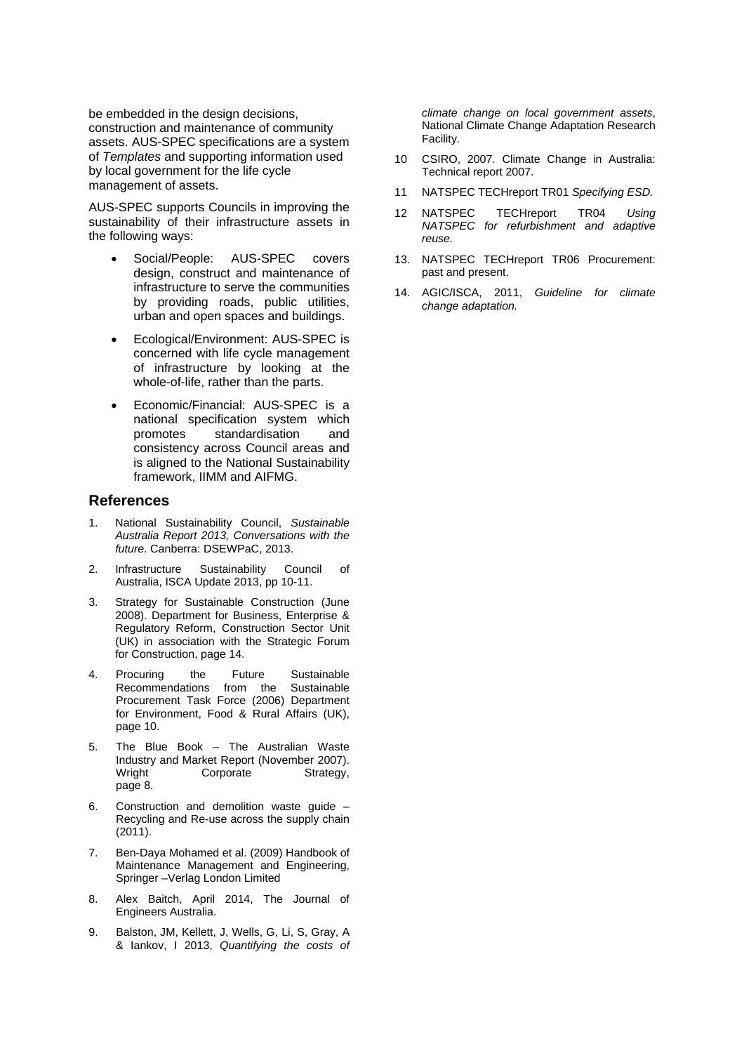be embedded in the design decisions, construction and maintenance of community assets. AUS-SPEC specifications are a system of *Templates* and supporting information used by local government for the life cycle management of assets.

AUS-SPEC supports Councils in improving the sustainability of their infrastructure assets in the following ways:

- Social/People: AUS-SPEC covers design, construct and maintenance of infrastructure to serve the communities by providing roads, public utilities, urban and open spaces and buildings.
- Ecological/Environment: AUS-SPEC is concerned with life cycle management of infrastructure by looking at the whole-of-life, rather than the parts.
- Economic/Financial: AUS-SPEC is a national specification system which promotes standardisation and consistency across Council areas and is aligned to the National Sustainability framework, IIMM and AIFMG.

#### **References**

- 1. National Sustainability Council, *Sustainable Australia Report 2013, Conversations with the future*. Canberra: DSEWPaC, 2013.
- 2. Infrastructure Sustainability Council of Australia, ISCA Update 2013, pp 10-11.
- 3. Strategy for Sustainable Construction (June 2008). Department for Business, Enterprise & Regulatory Reform, Construction Sector Unit (UK) in association with the Strategic Forum for Construction, page 14.
- 4. Procuring the Future Sustainable Recommendations from the Sustainable Procurement Task Force (2006) Department for Environment, Food & Rural Affairs (UK), page 10.
- 5. The Blue Book The Australian Waste Industry and Market Report (November 2007). Wright Corporate Strategy, page 8.
- 6. Construction and demolition waste guide Recycling and Re-use across the supply chain (2011).
- 7. Ben-Daya Mohamed et al. (2009) Handbook of Maintenance Management and Engineering, Springer –Verlag London Limited
- 8. Alex Baitch, April 2014, The Journal of Engineers Australia.
- 9. Balston, JM, Kellett, J, Wells, G, Li, S, Gray, A & Iankov, I 2013, *Quantifying the costs of*

*climate change on local government assets*, National Climate Change Adaptation Research Facility.

- 10 CSIRO, 2007. Climate Change in Australia: Technical report 2007.
- 11 NATSPEC TECHreport TR01 *Specifying ESD.*
- 12 NATSPEC TECHreport TR04 *Using NATSPEC for refurbishment and adaptive reuse.*
- 13. NATSPEC TECHreport TR06 Procurement: past and present.
- 14. AGIC/ISCA, 2011, *Guideline for climate change adaptation.*